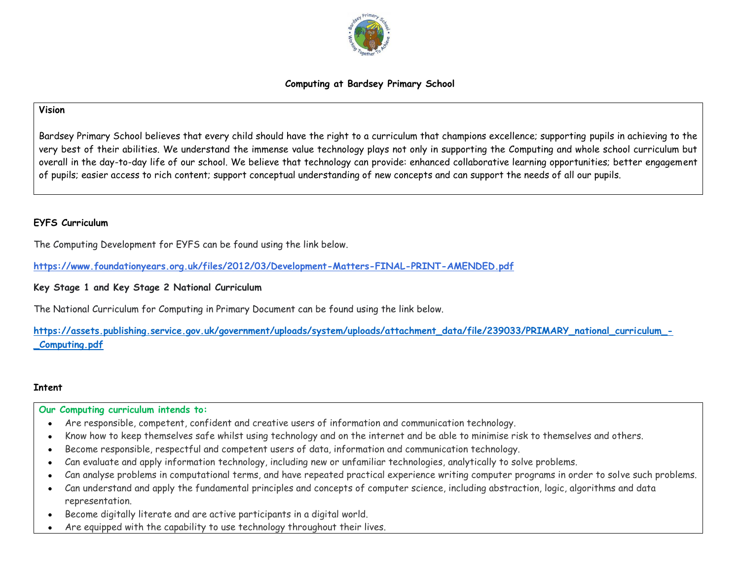

#### **Computing at Bardsey Primary School**

#### **Vision**

Bardsey Primary School believes that every child should have the right to a curriculum that champions excellence; supporting pupils in achieving to the very best of their abilities. We understand the immense value technology plays not only in supporting the Computing and whole school curriculum but overall in the day-to-day life of our school. We believe that technology can provide: enhanced collaborative learning opportunities; better engagement of pupils; easier access to rich content; support conceptual understanding of new concepts and can support the needs of all our pupils.

#### **EYFS Curriculum**

The Computing Development for EYFS can be found using the link below.

**<https://www.foundationyears.org.uk/files/2012/03/Development-Matters-FINAL-PRINT-AMENDED.pdf>**

## **Key Stage 1 and Key Stage 2 National Curriculum**

The National Curriculum for Computing in Primary Document can be found using the link below.

**[https://assets.publishing.service.gov.uk/government/uploads/system/uploads/attachment\\_data/file/239033/PRIMARY\\_national\\_curriculum\\_-](https://assets.publishing.service.gov.uk/government/uploads/system/uploads/attachment_data/file/239033/PRIMARY_national_curriculum_-_Computing.pdf) [\\_Computing.pdf](https://assets.publishing.service.gov.uk/government/uploads/system/uploads/attachment_data/file/239033/PRIMARY_national_curriculum_-_Computing.pdf)**

#### **Intent**

#### **Our Computing curriculum intends to:**

- Are responsible, competent, confident and creative users of information and communication technology.
- Know how to keep themselves safe whilst using technology and on the internet and be able to minimise risk to themselves and others.
- Become responsible, respectful and competent users of data, information and communication technology.
- Can evaluate and apply information technology, including new or unfamiliar technologies, analytically to solve problems.
- Can analyse problems in computational terms, and have repeated practical experience writing computer programs in order to solve such problems.
- Can understand and apply the fundamental principles and concepts of computer science, including abstraction, logic, algorithms and data representation.
- Become digitally literate and are active participants in a digital world.
- Are equipped with the capability to use technology throughout their lives.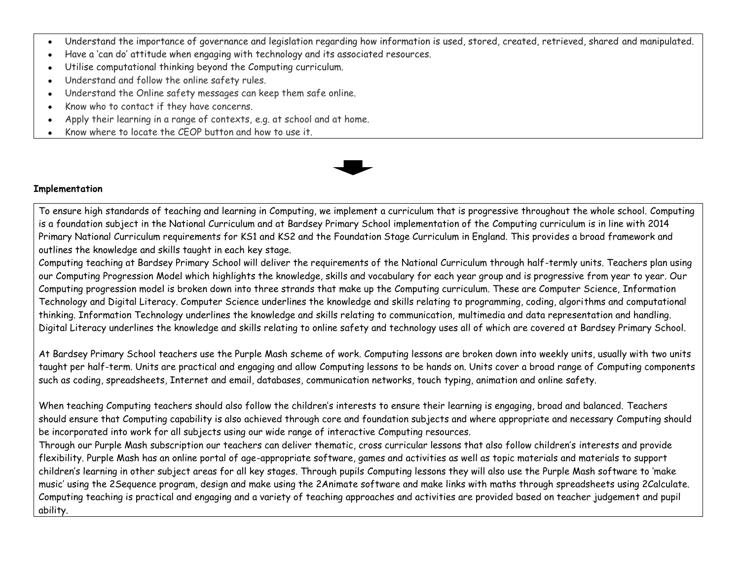- Understand the importance of governance and legislation regarding how information is used, stored, created, retrieved, shared and manipulated.
- Have a 'can do' attitude when engaging with technology and its associated resources.
- Utilise computational thinking beyond the Computing curriculum.
- Understand and follow the online safety rules.
- Understand the Online safety messages can keep them safe online.
- Know who to contact if they have concerns.
- Apply their learning in a range of contexts, e.g. at school and at home.
- Know where to locate the CEOP button and how to use it.



#### **Implementation**

To ensure high standards of teaching and learning in Computing, we implement a curriculum that is progressive throughout the whole school. Computing is a foundation subject in the National Curriculum and at Bardsey Primary School implementation of the Computing curriculum is in line with 2014 Primary National Curriculum requirements for KS1 and KS2 and the Foundation Stage Curriculum in England. This provides a broad framework and outlines the knowledge and skills taught in each key stage.

Computing teaching at Bardsey Primary School will deliver the requirements of the National Curriculum through half-termly units. Teachers plan using our Computing Progression Model which highlights the knowledge, skills and vocabulary for each year group and is progressive from year to year. Our Computing progression model is broken down into three strands that make up the Computing curriculum. These are Computer Science, Information Technology and Digital Literacy. Computer Science underlines the knowledge and skills relating to programming, coding, algorithms and computational thinking. Information Technology underlines the knowledge and skills relating to communication, multimedia and data representation and handling. Digital Literacy underlines the knowledge and skills relating to online safety and technology uses all of which are covered at Bardsey Primary School.

At Bardsey Primary School teachers use the Purple Mash scheme of work. Computing lessons are broken down into weekly units, usually with two units taught per half-term. Units are practical and engaging and allow Computing lessons to be hands on. Units cover a broad range of Computing components such as coding, spreadsheets, Internet and email, databases, communication networks, touch typing, animation and online safety.

When teaching Computing teachers should also follow the children's interests to ensure their learning is engaging, broad and balanced. Teachers should ensure that Computing capability is also achieved through core and foundation subjects and where appropriate and necessary Computing should be incorporated into work for all subjects using our wide range of interactive Computing resources.

Through our Purple Mash subscription our teachers can deliver thematic, cross curricular lessons that also follow children's interests and provide flexibility. Purple Mash has an online portal of age-appropriate software, games and activities as well as topic materials and materials to support children's learning in other subject areas for all key stages. Through pupils Computing lessons they will also use the Purple Mash software to 'make music' using the 2Sequence program, design and make using the 2Animate software and make links with maths through spreadsheets using 2Calculate. Computing teaching is practical and engaging and a variety of teaching approaches and activities are provided based on teacher judgement and pupil ability.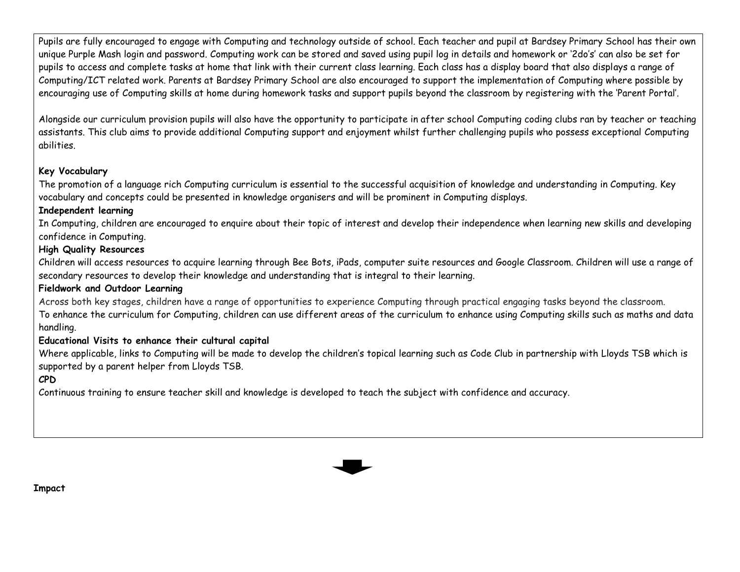Pupils are fully encouraged to engage with Computing and technology outside of school. Each teacher and pupil at Bardsey Primary School has their own unique Purple Mash login and password. Computing work can be stored and saved using pupil log in details and homework or '2do's' can also be set for pupils to access and complete tasks at home that link with their current class learning. Each class has a display board that also displays a range of Computing/ICT related work. Parents at Bardsey Primary School are also encouraged to support the implementation of Computing where possible by encouraging use of Computing skills at home during homework tasks and support pupils beyond the classroom by registering with the 'Parent Portal'.

Alongside our curriculum provision pupils will also have the opportunity to participate in after school Computing coding clubs ran by teacher or teaching assistants. This club aims to provide additional Computing support and enjoyment whilst further challenging pupils who possess exceptional Computing abilities.

### **Key Vocabulary**

The promotion of a language rich Computing curriculum is essential to the successful acquisition of knowledge and understanding in Computing. Key vocabulary and concepts could be presented in knowledge organisers and will be prominent in Computing displays.

## **Independent learning**

In Computing, children are encouraged to enquire about their topic of interest and develop their independence when learning new skills and developing confidence in Computing.

## **High Quality Resources**

Children will access resources to acquire learning through Bee Bots, iPads, computer suite resources and Google Classroom. Children will use a range of secondary resources to develop their knowledge and understanding that is integral to their learning.

## **Fieldwork and Outdoor Learning**

Across both key stages, children have a range of opportunities to experience Computing through practical engaging tasks beyond the classroom. To enhance the curriculum for Computing, children can use different areas of the curriculum to enhance using Computing skills such as maths and data handling.

## **Educational Visits to enhance their cultural capital**

Where applicable, links to Computing will be made to develop the children's topical learning such as Code Club in partnership with Lloyds TSB which is supported by a parent helper from Lloyds TSB.

## **CPD**

Continuous training to ensure teacher skill and knowledge is developed to teach the subject with confidence and accuracy.



**Impact**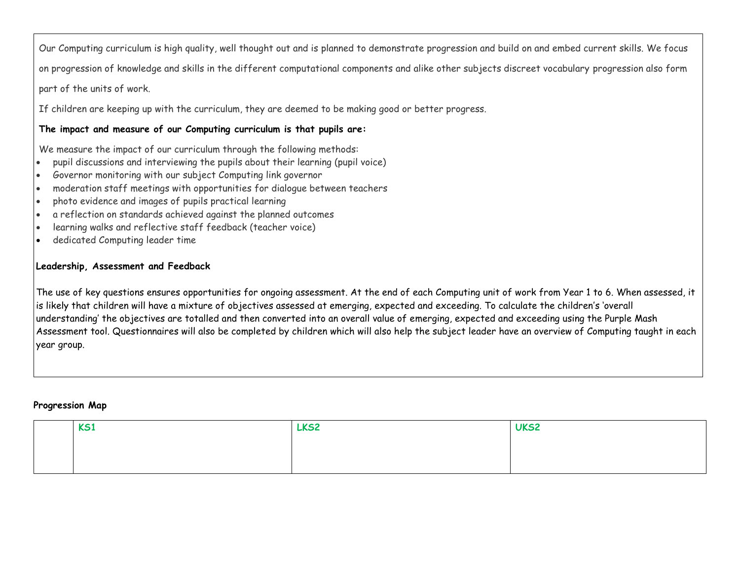Our Computing curriculum is high quality, well thought out and is planned to demonstrate progression and build on and embed current skills. We focus on progression of knowledge and skills in the different computational components and alike other subjects discreet vocabulary progression also form part of the units of work.

If children are keeping up with the curriculum, they are deemed to be making good or better progress.

## **The impact and measure of our Computing curriculum is that pupils are:**

We measure the impact of our curriculum through the following methods:

- pupil discussions and interviewing the pupils about their learning (pupil voice)
- Governor monitoring with our subject Computing link governor
- moderation staff meetings with opportunities for dialogue between teachers
- photo evidence and images of pupils practical learning
- a reflection on standards achieved against the planned outcomes
- learning walks and reflective staff feedback (teacher voice)
- dedicated Computing leader time

## **Leadership, Assessment and Feedback**

The use of key questions ensures opportunities for ongoing assessment. At the end of each Computing unit of work from Year 1 to 6. When assessed, it is likely that children will have a mixture of objectives assessed at emerging, expected and exceeding. To calculate the children's 'overall understanding' the objectives are totalled and then converted into an overall value of emerging, expected and exceeding using the Purple Mash Assessment tool. Questionnaires will also be completed by children which will also help the subject leader have an overview of Computing taught in each year group.

### **Progression Map**

| <b>KS1</b> | LKS2 | UKS2 |
|------------|------|------|
|            |      |      |
|            |      |      |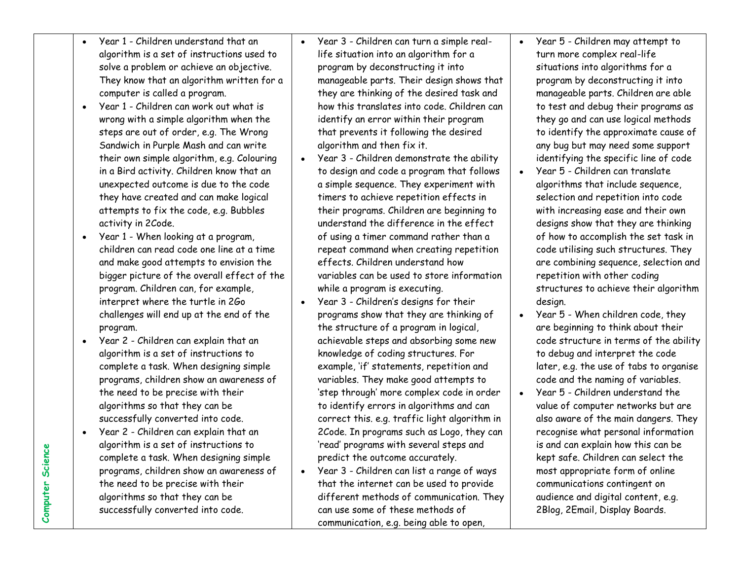| $\bullet$ | Year 1 - Children understand that an       |  |  |  |
|-----------|--------------------------------------------|--|--|--|
|           | algorithm is a set of instructions used to |  |  |  |
|           | solve a problem or achieve an objective.   |  |  |  |
|           | They know that an algorithm written for a  |  |  |  |
|           | computer is called a program.              |  |  |  |

- Year 1 Children can work out what is wrong with a simple algorithm when the steps are out of order, e.g. The Wrong Sandwich in Purple Mash and can write their own simple algorithm, e.g. Colouring in a Bird activity. Children know that an unexpected outcome is due to the code they have created and can make logical attempts to fix the code, e.g. Bubbles activity in 2Code.
- Year 1 When looking at a program, children can read code one line at a time and make good attempts to envision the bigger picture of the overall effect of the program. Children can, for example, interpret where the turtle in 2Go challenges will end up at the end of the program.
- Year 2 Children can explain that an algorithm is a set of instructions to complete a task. When designing simple programs, children show an awareness of the need to be precise with their algorithms so that they can be successfully converted into code.
- Year 2 Children can explain that an algorithm is a set of instructions to complete a task. When designing simple programs, children show an awareness of the need to be precise with their algorithms so that they can be successfully converted into code.
- Year 3 Children can turn a simple reallife situation into an algorithm for a program by deconstructing it into manageable parts. Their design shows that they are thinking of the desired task and how this translates into code. Children can identify an error within their program that prevents it following the desired algorithm and then fix it.
- Year 3 Children demonstrate the ability to design and code a program that follows a simple sequence. They experiment with timers to achieve repetition effects in their programs. Children are beginning to understand the difference in the effect of using a timer command rather than a repeat command when creating repetition effects. Children understand how variables can be used to store information while a program is executing.
- Year 3 Children's designs for their programs show that they are thinking of the structure of a program in logical, achievable steps and absorbing some new knowledge of coding structures. For example, 'if' statements, repetition and variables. They make good attempts to 'step through' more complex code in order to identify errors in algorithms and can correct this. e.g. traffic light algorithm in 2Code. In programs such as Logo, they can 'read' programs with several steps and predict the outcome accurately.
- Year 3 Children can list a range of ways that the internet can be used to provide different methods of communication. They can use some of these methods of communication, e.g. being able to open,
- Year 5 Children may attempt to turn more complex real-life situations into algorithms for a program by deconstructing it into manageable parts. Children are able to test and debug their programs as they go and can use logical methods to identify the approximate cause of any bug but may need some support identifying the specific line of code
- Year 5 Children can translate algorithms that include sequence, selection and repetition into code with increasing ease and their own designs show that they are thinking of how to accomplish the set task in code utilising such structures. They are combining sequence, selection and repetition with other coding structures to achieve their algorithm design.
- Year 5 When children code, they are beginning to think about their code structure in terms of the ability to debug and interpret the code later, e.g. the use of tabs to organise code and the naming of variables.
- Year 5 Children understand the value of computer networks but are also aware of the main dangers. They recognise what personal information is and can explain how this can be kept safe. Children can select the most appropriate form of online communications contingent on audience and digital content, e.g. 2Blog, 2Email, Display Boards.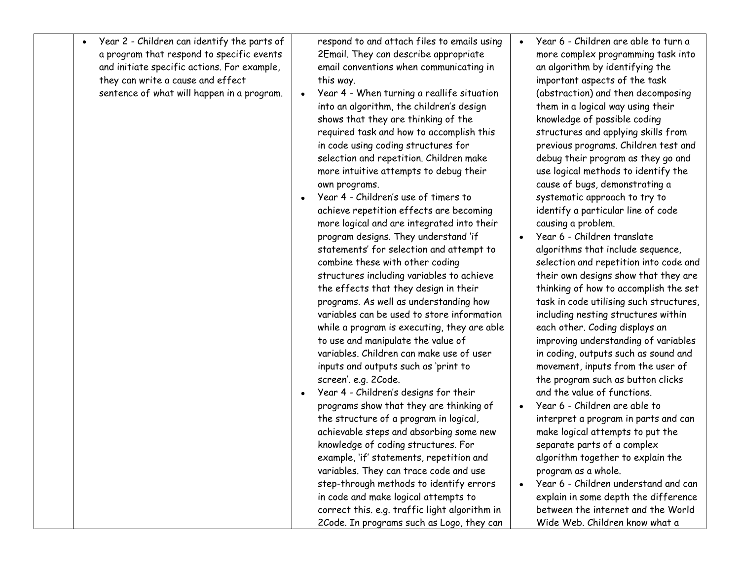| Year 2 - Children can identify the parts of<br>a program that respond to specific events<br>and initiate specific actions. For example,<br>they can write a cause and effect<br>sentence of what will happen in a program. | respond to and attach files to emails using<br>2Email. They can describe appropriate<br>email conventions when communicating in<br>this way.<br>Year 4 - When turning a reallife situation<br>into an algorithm, the children's design<br>shows that they are thinking of the<br>required task and how to accomplish this<br>in code using coding structures for<br>selection and repetition. Children make<br>more intuitive attempts to debug their<br>own programs.<br>Year 4 - Children's use of timers to<br>achieve repetition effects are becoming<br>more logical and are integrated into their<br>program designs. They understand 'if<br>statements' for selection and attempt to<br>combine these with other coding<br>structures including variables to achieve<br>the effects that they design in their<br>programs. As well as understanding how<br>variables can be used to store information<br>while a program is executing, they are able<br>to use and manipulate the value of<br>variables. Children can make use of user<br>inputs and outputs such as 'print to<br>screen'. e.g. 2Code.<br>Year 4 - Children's designs for their<br>programs show that they are thinking of<br>the structure of a program in logical,<br>achievable steps and absorbing some new<br>knowledge of coding structures. For<br>example, 'if' statements, repetition and<br>variables. They can trace code and use<br>step-through methods to identify errors<br>in code and make logical attempts to<br>correct this. e.g. traffic light algorithm in<br>2Code. In programs such as Logo, they can | Year 6 - Children are able to turn a<br>more complex programming task into<br>an algorithm by identifying the<br>important aspects of the task<br>(abstraction) and then decomposing<br>them in a logical way using their<br>knowledge of possible coding<br>structures and applying skills from<br>previous programs. Children test and<br>debug their program as they go and<br>use logical methods to identify the<br>cause of bugs, demonstrating a<br>systematic approach to try to<br>identify a particular line of code<br>causing a problem.<br>Year 6 - Children translate<br>algorithms that include sequence,<br>selection and repetition into code and<br>their own designs show that they are<br>thinking of how to accomplish the set<br>task in code utilising such structures,<br>including nesting structures within<br>each other. Coding displays an<br>improving understanding of variables<br>in coding, outputs such as sound and<br>movement, inputs from the user of<br>the program such as button clicks<br>and the value of functions.<br>Year 6 - Children are able to<br>interpret a program in parts and can<br>make logical attempts to put the<br>separate parts of a complex<br>algorithm together to explain the<br>program as a whole.<br>Year 6 - Children understand and can<br>explain in some depth the difference<br>between the internet and the World<br>Wide Web. Children know what a |
|----------------------------------------------------------------------------------------------------------------------------------------------------------------------------------------------------------------------------|------------------------------------------------------------------------------------------------------------------------------------------------------------------------------------------------------------------------------------------------------------------------------------------------------------------------------------------------------------------------------------------------------------------------------------------------------------------------------------------------------------------------------------------------------------------------------------------------------------------------------------------------------------------------------------------------------------------------------------------------------------------------------------------------------------------------------------------------------------------------------------------------------------------------------------------------------------------------------------------------------------------------------------------------------------------------------------------------------------------------------------------------------------------------------------------------------------------------------------------------------------------------------------------------------------------------------------------------------------------------------------------------------------------------------------------------------------------------------------------------------------------------------------------------------------------------------------------------------|----------------------------------------------------------------------------------------------------------------------------------------------------------------------------------------------------------------------------------------------------------------------------------------------------------------------------------------------------------------------------------------------------------------------------------------------------------------------------------------------------------------------------------------------------------------------------------------------------------------------------------------------------------------------------------------------------------------------------------------------------------------------------------------------------------------------------------------------------------------------------------------------------------------------------------------------------------------------------------------------------------------------------------------------------------------------------------------------------------------------------------------------------------------------------------------------------------------------------------------------------------------------------------------------------------------------------------------------------------------------------------------------------------------------------------|
|----------------------------------------------------------------------------------------------------------------------------------------------------------------------------------------------------------------------------|------------------------------------------------------------------------------------------------------------------------------------------------------------------------------------------------------------------------------------------------------------------------------------------------------------------------------------------------------------------------------------------------------------------------------------------------------------------------------------------------------------------------------------------------------------------------------------------------------------------------------------------------------------------------------------------------------------------------------------------------------------------------------------------------------------------------------------------------------------------------------------------------------------------------------------------------------------------------------------------------------------------------------------------------------------------------------------------------------------------------------------------------------------------------------------------------------------------------------------------------------------------------------------------------------------------------------------------------------------------------------------------------------------------------------------------------------------------------------------------------------------------------------------------------------------------------------------------------------|----------------------------------------------------------------------------------------------------------------------------------------------------------------------------------------------------------------------------------------------------------------------------------------------------------------------------------------------------------------------------------------------------------------------------------------------------------------------------------------------------------------------------------------------------------------------------------------------------------------------------------------------------------------------------------------------------------------------------------------------------------------------------------------------------------------------------------------------------------------------------------------------------------------------------------------------------------------------------------------------------------------------------------------------------------------------------------------------------------------------------------------------------------------------------------------------------------------------------------------------------------------------------------------------------------------------------------------------------------------------------------------------------------------------------------|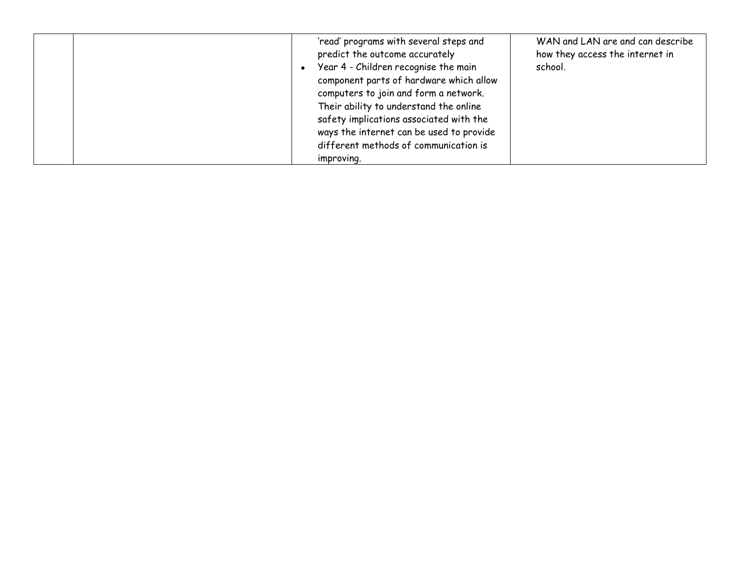|  | 'read' programs with several steps and<br>predict the outcome accurately<br>Year 4 - Children recognise the main<br>component parts of hardware which allow<br>computers to join and form a network.<br>Their ability to understand the online<br>safety implications associated with the<br>ways the internet can be used to provide<br>different methods of communication is<br>improving. | WAN and LAN are and can describe<br>how they access the internet in<br>school. |
|--|----------------------------------------------------------------------------------------------------------------------------------------------------------------------------------------------------------------------------------------------------------------------------------------------------------------------------------------------------------------------------------------------|--------------------------------------------------------------------------------|
|--|----------------------------------------------------------------------------------------------------------------------------------------------------------------------------------------------------------------------------------------------------------------------------------------------------------------------------------------------------------------------------------------------|--------------------------------------------------------------------------------|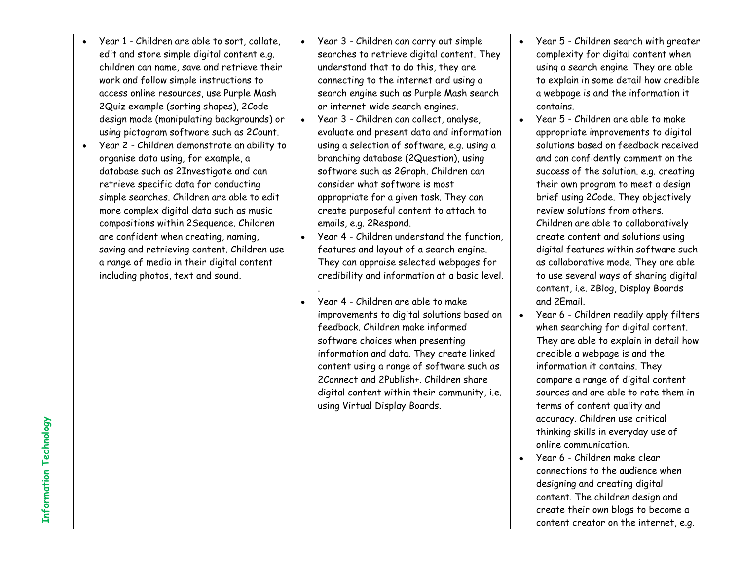- Year 1 Children are able to sort, collate, edit and store simple digital content e.g. children can name, save and retrieve their work and follow simple instructions to access online resources, use Purple Mash 2Quiz example (sorting shapes), 2Code design mode (manipulating backgrounds) or using pictogram software such as 2Count.
- Year 2 Children demonstrate an ability to organise data using, for example, a database such as 2Investigate and can retrieve specific data for conducting simple searches. Children are able to edit more complex digital data such as music compositions within 2Sequence. Children are confident when creating, naming, saving and retrieving content. Children use a range of media in their digital content including photos, text and sound.
- Year 3 Children can carry out simple searches to retrieve digital content. They understand that to do this, they are connecting to the internet and using a search engine such as Purple Mash search or internet-wide search engines.
- Year 3 Children can collect, analyse, evaluate and present data and information using a selection of software, e.g. using a branching database (2Question), using software such as 2Graph. Children can consider what software is most appropriate for a given task. They can create purposeful content to attach to emails, e.g. 2Respond.
- Year 4 Children understand the function, features and layout of a search engine. They can appraise selected webpages for credibility and information at a basic level.

.

 Year 4 - Children are able to make improvements to digital solutions based on feedback. Children make informed software choices when presenting information and data. They create linked content using a range of software such as 2Connect and 2Publish+. Children share digital content within their community, i.e. using Virtual Display Boards.

- Year 5 Children search with greater complexity for digital content when using a search engine. They are able to explain in some detail how credible a webpage is and the information it contains.
- Year 5 Children are able to make appropriate improvements to digital solutions based on feedback received and can confidently comment on the success of the solution. e.g. creating their own program to meet a design brief using 2Code. They objectively review solutions from others. Children are able to collaboratively create content and solutions using digital features within software such as collaborative mode. They are able to use several ways of sharing digital content, i.e. 2Blog, Display Boards and 2Email.
- Year 6 Children readily apply filters when searching for digital content. They are able to explain in detail how credible a webpage is and the information it contains. They compare a range of digital content sources and are able to rate them in terms of content quality and accuracy. Children use critical thinking skills in everyday use of online communication.
- Year 6 Children make clear connections to the audience when designing and creating digital content. The children design and create their own blogs to become a content creator on the internet, e.g.

**Information Technology Information Technology**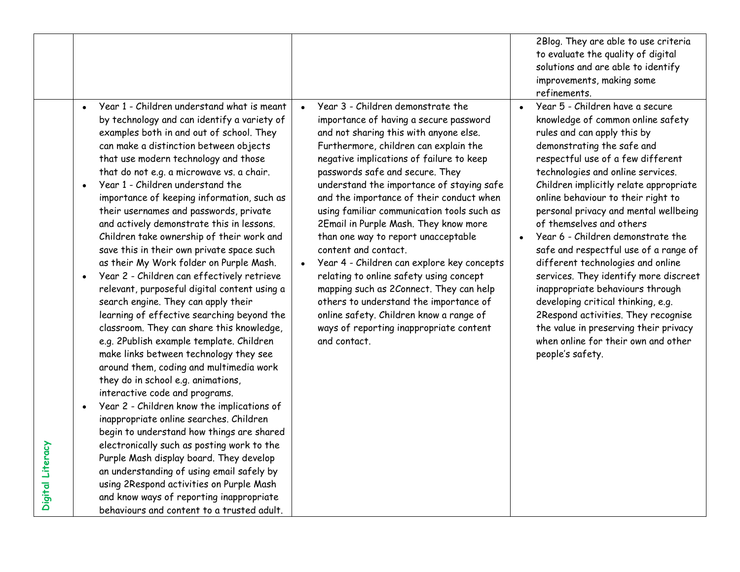|                  |                                                                                                                                                                                                                                                                                                                                                                                                                                                                                                                                                                                                                                                                                                                                                                                                                                                                                                                                                                                                                                                                                                                                                                                                                                                                                                                                                                                                                                                            |                                                                                                                                                                                                                                                                                                                                                                                                                                                                                                                                                                                                                                                                                                                                                                                                            | 2Blog. They are able to use criteria<br>to evaluate the quality of digital<br>solutions and are able to identify<br>improvements, making some<br>refinements.                                                                                                                                                                                                                                                                                                                                                                                                                                                                                                                                                                                                  |
|------------------|------------------------------------------------------------------------------------------------------------------------------------------------------------------------------------------------------------------------------------------------------------------------------------------------------------------------------------------------------------------------------------------------------------------------------------------------------------------------------------------------------------------------------------------------------------------------------------------------------------------------------------------------------------------------------------------------------------------------------------------------------------------------------------------------------------------------------------------------------------------------------------------------------------------------------------------------------------------------------------------------------------------------------------------------------------------------------------------------------------------------------------------------------------------------------------------------------------------------------------------------------------------------------------------------------------------------------------------------------------------------------------------------------------------------------------------------------------|------------------------------------------------------------------------------------------------------------------------------------------------------------------------------------------------------------------------------------------------------------------------------------------------------------------------------------------------------------------------------------------------------------------------------------------------------------------------------------------------------------------------------------------------------------------------------------------------------------------------------------------------------------------------------------------------------------------------------------------------------------------------------------------------------------|----------------------------------------------------------------------------------------------------------------------------------------------------------------------------------------------------------------------------------------------------------------------------------------------------------------------------------------------------------------------------------------------------------------------------------------------------------------------------------------------------------------------------------------------------------------------------------------------------------------------------------------------------------------------------------------------------------------------------------------------------------------|
| Digital Literacy | Year 1 - Children understand what is meant<br>$\bullet$<br>by technology and can identify a variety of<br>examples both in and out of school. They<br>can make a distinction between objects<br>that use modern technology and those<br>that do not e.g. a microwave vs. a chair.<br>Year 1 - Children understand the<br>importance of keeping information, such as<br>their usernames and passwords, private<br>and actively demonstrate this in lessons.<br>Children take ownership of their work and<br>save this in their own private space such<br>as their My Work folder on Purple Mash.<br>Year 2 - Children can effectively retrieve<br>relevant, purposeful digital content using a<br>search engine. They can apply their<br>learning of effective searching beyond the<br>classroom. They can share this knowledge,<br>e.g. 2Publish example template. Children<br>make links between technology they see<br>around them, coding and multimedia work<br>they do in school e.g. animations,<br>interactive code and programs.<br>Year 2 - Children know the implications of<br>inappropriate online searches. Children<br>begin to understand how things are shared<br>electronically such as posting work to the<br>Purple Mash display board. They develop<br>an understanding of using email safely by<br>using 2Respond activities on Purple Mash<br>and know ways of reporting inappropriate<br>behaviours and content to a trusted adult. | Year 3 - Children demonstrate the<br>$\bullet$<br>importance of having a secure password<br>and not sharing this with anyone else.<br>Furthermore, children can explain the<br>negative implications of failure to keep<br>passwords safe and secure. They<br>understand the importance of staying safe<br>and the importance of their conduct when<br>using familiar communication tools such as<br>2Email in Purple Mash. They know more<br>than one way to report unacceptable<br>content and contact.<br>Year 4 - Children can explore key concepts<br>$\bullet$<br>relating to online safety using concept<br>mapping such as 2Connect. They can help<br>others to understand the importance of<br>online safety. Children know a range of<br>ways of reporting inappropriate content<br>and contact. | Year 5 - Children have a secure<br>$\bullet$<br>knowledge of common online safety<br>rules and can apply this by<br>demonstrating the safe and<br>respectful use of a few different<br>technologies and online services.<br>Children implicitly relate appropriate<br>online behaviour to their right to<br>personal privacy and mental wellbeing<br>of themselves and others<br>Year 6 - Children demonstrate the<br>safe and respectful use of a range of<br>different technologies and online<br>services. They identify more discreet<br>inappropriate behaviours through<br>developing critical thinking, e.g.<br>2Respond activities. They recognise<br>the value in preserving their privacy<br>when online for their own and other<br>people's safety. |